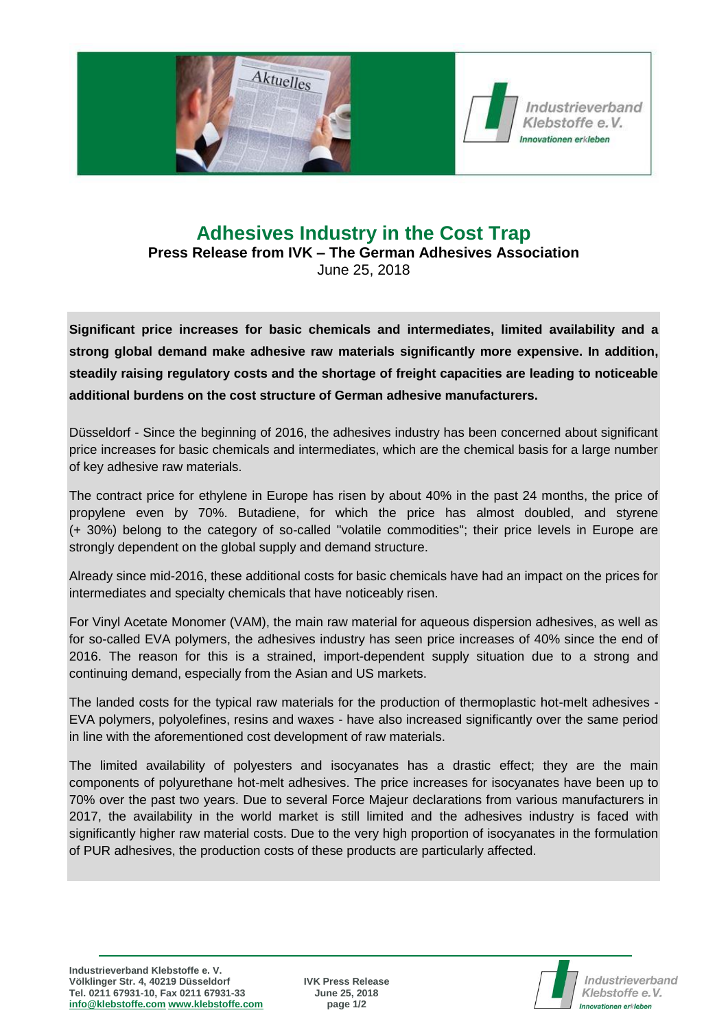

## **Adhesives Industry in the Cost Trap Press Release from IVK – The German Adhesives Association** June 25, 2018

**Significant price increases for basic chemicals and intermediates, limited availability and a strong global demand make adhesive raw materials significantly more expensive. In addition, steadily raising regulatory costs and the shortage of freight capacities are leading to noticeable additional burdens on the cost structure of German adhesive manufacturers.**

Düsseldorf - Since the beginning of 2016, the adhesives industry has been concerned about significant price increases for basic chemicals and intermediates, which are the chemical basis for a large number of key adhesive raw materials.

The contract price for ethylene in Europe has risen by about 40% in the past 24 months, the price of propylene even by 70%. Butadiene, for which the price has almost doubled, and styrene (+ 30%) belong to the category of so-called "volatile commodities"; their price levels in Europe are strongly dependent on the global supply and demand structure.

Already since mid-2016, these additional costs for basic chemicals have had an impact on the prices for intermediates and specialty chemicals that have noticeably risen.

For Vinyl Acetate Monomer (VAM), the main raw material for aqueous dispersion adhesives, as well as for so-called EVA polymers, the adhesives industry has seen price increases of 40% since the end of 2016. The reason for this is a strained, import-dependent supply situation due to a strong and continuing demand, especially from the Asian and US markets.

The landed costs for the typical raw materials for the production of thermoplastic hot-melt adhesives -EVA polymers, polyolefines, resins and waxes - have also increased significantly over the same period in line with the aforementioned cost development of raw materials.

The limited availability of polyesters and isocyanates has a drastic effect; they are the main components of polyurethane hot-melt adhesives. The price increases for isocyanates have been up to 70% over the past two years. Due to several Force Majeur declarations from various manufacturers in 2017, the availability in the world market is still limited and the adhesives industry is faced with significantly higher raw material costs. Due to the very high proportion of isocyanates in the formulation of PUR adhesives, the production costs of these products are particularly affected.